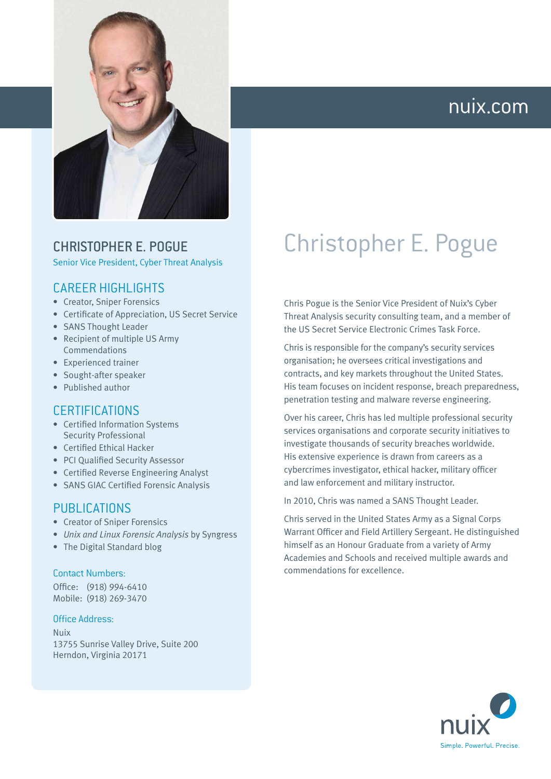



### CHRISTOPHER E. POGUE Senior Vice President, Cyber Threat Analysis

### CAREER HIGHLIGHTS

- Creator, Sniper Forensics
- Certificate of Appreciation, US Secret Service
- SANS Thought Leader
- Recipient of multiple US Army Commendations
- Experienced trainer
- Sought-after speaker
- Published author

### **CERTIFICATIONS**

- Certified Information Systems Security Professional
- Certified Ethical Hacker
- PCI Qualified Security Assessor
- Certified Reverse Engineering Analyst
- SANS GIAC Certified Forensic Analysis

### PUBLICATIONS

- Creator of Sniper Forensics
- *Unix and Linux Forensic Analysis* by Syngress
- The Digital Standard blog

#### Contact Numbers:

Office: (918) 994-6410 Mobile: (918) 269-3470

### Office Address:

Nuix 13755 Sunrise Valley Drive, Suite 200 Herndon, Virginia 20171

# Christopher E. Pogue

Chris Pogue is the Senior Vice President of Nuix's Cyber Threat Analysis security consulting team, and a member of the US Secret Service Electronic Crimes Task Force.

Chris is responsible for the company's security services organisation; he oversees critical investigations and contracts, and key markets throughout the United States. His team focuses on incident response, breach preparedness, penetration testing and malware reverse engineering.

Over his career, Chris has led multiple professional security services organisations and corporate security initiatives to investigate thousands of security breaches worldwide. His extensive experience is drawn from careers as a cybercrimes investigator, ethical hacker, military officer and law enforcement and military instructor.

In 2010, Chris was named a SANS Thought Leader.

Chris served in the United States Army as a Signal Corps Warrant Officer and Field Artillery Sergeant. He distinguished himself as an Honour Graduate from a variety of Army Academies and Schools and received multiple awards and commendations for excellence.